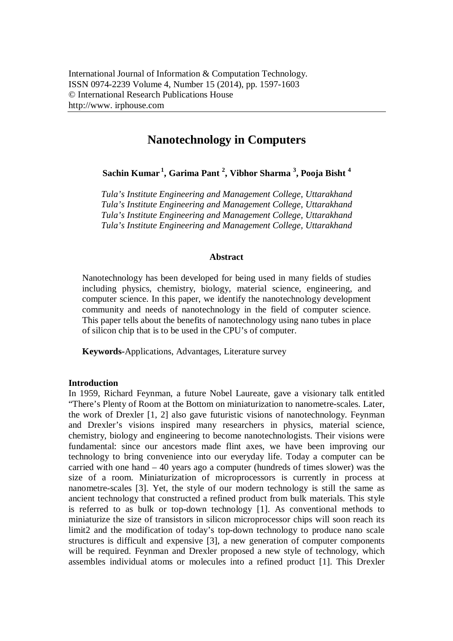# **Nanotechnology in Computers**

**Sachin Kumar <sup>1</sup> , Garima Pant <sup>2</sup> , Vibhor Sharma <sup>3</sup> , Pooja Bisht <sup>4</sup>**

*Tula's Institute Engineering and Management College, Uttarakhand Tula's Institute Engineering and Management College, Uttarakhand Tula's Institute Engineering and Management College, Uttarakhand Tula's Institute Engineering and Management College, Uttarakhand*

## **Abstract**

Nanotechnology has been developed for being used in many fields of studies including physics, chemistry, biology, material science, engineering, and computer science. In this paper, we identify the nanotechnology development community and needs of nanotechnology in the field of computer science. This paper tells about the benefits of nanotechnology using nano tubes in place of silicon chip that is to be used in the CPU's of computer.

**Keywords-**Applications, Advantages, Literature survey

# **Introduction**

In 1959, Richard Feynman, a future Nobel Laureate, gave a visionary talk entitled "There's Plenty of Room at the Bottom on miniaturization to nanometre-scales. Later, the work of Drexler [1, 2] also gave futuristic visions of nanotechnology. Feynman and Drexler's visions inspired many researchers in physics, material science, chemistry, biology and engineering to become nanotechnologists. Their visions were fundamental: since our ancestors made flint axes, we have been improving our technology to bring convenience into our everyday life. Today a computer can be carried with one hand – 40 years ago a computer (hundreds of times slower) was the size of a room. Miniaturization of microprocessors is currently in process at nanometre-scales [3]. Yet, the style of our modern technology is still the same as ancient technology that constructed a refined product from bulk materials. This style is referred to as bulk or top-down technology [1]. As conventional methods to miniaturize the size of transistors in silicon microprocessor chips will soon reach its limit2 and the modification of today's top-down technology to produce nano scale structures is difficult and expensive [3], a new generation of computer components will be required. Feynman and Drexler proposed a new style of technology, which assembles individual atoms or molecules into a refined product [1]. This Drexler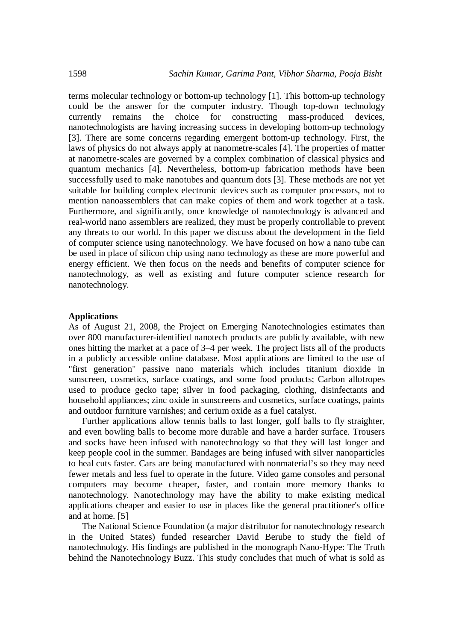terms molecular technology or bottom-up technology [1]. This bottom-up technology could be the answer for the computer industry. Though top-down technology currently remains the choice for constructing mass-produced devices, nanotechnologists are having increasing success in developing bottom-up technology [3]. There are some concerns regarding emergent bottom-up technology. First, the laws of physics do not always apply at nanometre-scales [4]. The properties of matter at nanometre-scales are governed by a complex combination of classical physics and quantum mechanics [4]. Nevertheless, bottom-up fabrication methods have been successfully used to make nanotubes and quantum dots [3]. These methods are not yet suitable for building complex electronic devices such as computer processors, not to mention nanoassemblers that can make copies of them and work together at a task. Furthermore, and significantly, once knowledge of nanotechnology is advanced and real-world nano assemblers are realized, they must be properly controllable to prevent any threats to our world. In this paper we discuss about the development in the field of computer science using nanotechnology. We have focused on how a nano tube can be used in place of silicon chip using nano technology as these are more powerful and energy efficient. We then focus on the needs and benefits of computer science for nanotechnology, as well as existing and future computer science research for nanotechnology.

## **Applications**

As of August 21, 2008, the Project on Emerging Nanotechnologies estimates than over 800 manufacturer-identified nanotech products are publicly available, with new ones hitting the market at a pace of 3–4 per week. The project lists all of the products in a publicly accessible online database. Most applications are limited to the use of "first generation" passive nano materials which includes titanium dioxide in sunscreen, cosmetics, surface coatings, and some food products; Carbon allotropes used to produce gecko tape; silver in food packaging, clothing, disinfectants and household appliances; zinc oxide in sunscreens and cosmetics, surface coatings, paints and outdoor furniture varnishes; and cerium oxide as a fuel catalyst.

Further applications allow tennis balls to last longer, golf balls to fly straighter, and even bowling balls to become more durable and have a harder surface. Trousers and socks have been infused with nanotechnology so that they will last longer and keep people cool in the summer. Bandages are being infused with silver nanoparticles to heal cuts faster. Cars are being manufactured with nonmaterial's so they may need fewer metals and less fuel to operate in the future. Video game consoles and personal computers may become cheaper, faster, and contain more memory thanks to nanotechnology. Nanotechnology may have the ability to make existing medical applications cheaper and easier to use in places like the general practitioner's office and at home. [5]

The National Science Foundation (a major distributor for nanotechnology research in the United States) funded researcher David Berube to study the field of nanotechnology. His findings are published in the monograph Nano-Hype: The Truth behind the Nanotechnology Buzz. This study concludes that much of what is sold as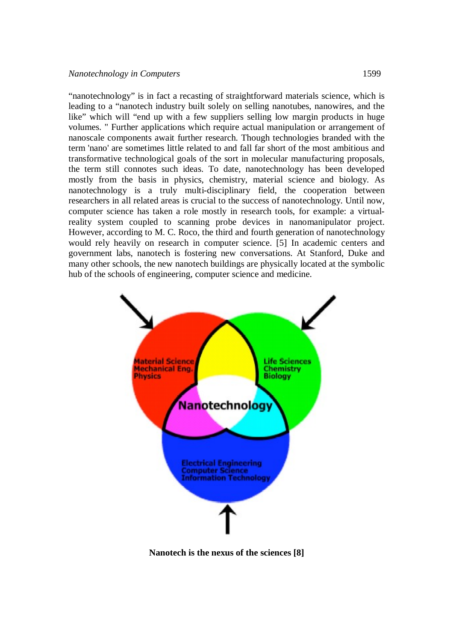"nanotechnology" is in fact a recasting of straightforward materials science, which is leading to a "nanotech industry built solely on selling nanotubes, nanowires, and the like" which will "end up with a few suppliers selling low margin products in huge volumes. " Further applications which require actual manipulation or arrangement of nanoscale components await further research. Though technologies branded with the term 'nano' are sometimes little related to and fall far short of the most ambitious and transformative technological goals of the sort in molecular manufacturing proposals, the term still connotes such ideas. To date, nanotechnology has been developed mostly from the basis in physics, chemistry, material science and biology. As nanotechnology is a truly multi-disciplinary field, the cooperation between researchers in all related areas is crucial to the success of nanotechnology. Until now, computer science has taken a role mostly in research tools, for example: a virtualreality system coupled to scanning probe devices in nanomanipulator project. However, according to M. C. Roco, the third and fourth generation of nanotechnology would rely heavily on research in computer science. [5] In academic centers and government labs, nanotech is fostering new conversations. At Stanford, Duke and many other schools, the new nanotech buildings are physically located at the symbolic hub of the schools of engineering, computer science and medicine.



**Nanotech is the nexus of the sciences [8]**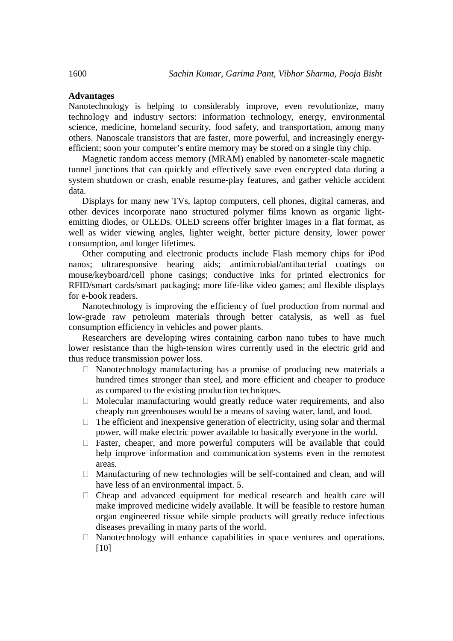## **Advantages**

Nanotechnology is helping to considerably improve, even revolutionize, many technology and industry sectors: information technology, energy, environmental science, medicine, homeland security, food safety, and transportation, among many others. Nanoscale transistors that are faster, more powerful, and increasingly energyefficient; soon your computer's entire memory may be stored on a single tiny chip.

Magnetic random access memory (MRAM) enabled by nanometer‐scale magnetic tunnel junctions that can quickly and effectively save even encrypted data during a system shutdown or crash, enable resume‐play features, and gather vehicle accident data.

Displays for many new TVs, laptop computers, cell phones, digital cameras, and other devices incorporate nano structured polymer films known as organic lightemitting diodes, or OLEDs. OLED screens offer brighter images in a flat format, as well as wider viewing angles, lighter weight, better picture density, lower power consumption, and longer lifetimes.

Other computing and electronic products include Flash memory chips for iPod nanos; ultraresponsive hearing aids; antimicrobial/antibacterial coatings on mouse/keyboard/cell phone casings; conductive inks for printed electronics for RFID/smart cards/smart packaging; more life-like video games; and flexible displays for e-book readers.

Nanotechnology is improving the efficiency of fuel production from normal and low-grade raw petroleum materials through better catalysis, as well as fuel consumption efficiency in vehicles and power plants.

Researchers are developing wires containing carbon nano tubes to have much lower resistance than the high-tension wires currently used in the electric grid and thus reduce transmission power loss.

- $\Box$  Nanotechnology manufacturing has a promise of producing new materials a hundred times stronger than steel, and more efficient and cheaper to produce as compared to the existing production techniques.
- $\Box$  Molecular manufacturing would greatly reduce water requirements, and also cheaply run greenhouses would be a means of saving water, land, and food.
- $\Box$  The efficient and inexpensive generation of electricity, using solar and thermal power, will make electric power available to basically everyone in the world.
- $\Box$  Faster, cheaper, and more powerful computers will be available that could help improve information and communication systems even in the remotest areas.
- $\Box$  Manufacturing of new technologies will be self-contained and clean, and will have less of an environmental impact. 5.
- $\Box$  Cheap and advanced equipment for medical research and health care will make improved medicine widely available. It will be feasible to restore human organ engineered tissue while simple products will greatly reduce infectious diseases prevailing in many parts of the world.
- $\Box$  Nanotechnology will enhance capabilities in space ventures and operations. [10]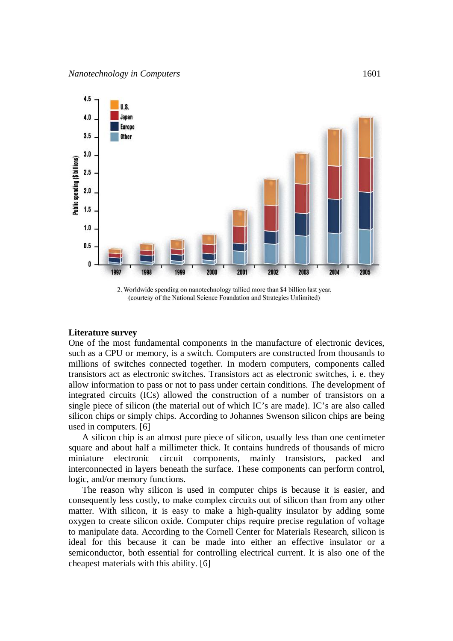

2. Worldwide spending on nanotechnology tallied more than \$4 billion last year. (courtesy of the National Science Foundation and Strategies Unlimited)

#### **Literature survey**

One of the most fundamental components in the manufacture of electronic devices, such as a CPU or memory, is a switch. Computers are constructed from thousands to millions of switches connected together. In modern computers, components called transistors act as electronic switches. Transistors act as electronic switches, i. e. they allow information to pass or not to pass under certain conditions. The development of integrated circuits (ICs) allowed the construction of a number of transistors on a single piece of silicon (the material out of which IC's are made). IC's are also called silicon chips or simply chips. According to Johannes Swenson silicon chips are being used in computers. [6]

A silicon chip is an almost pure piece of silicon, usually less than one centimeter square and about half a millimeter thick. It contains hundreds of thousands of micro miniature electronic circuit components, mainly transistors, packed and interconnected in layers beneath the surface. These components can perform control, logic, and/or memory functions.

The reason why silicon is used in computer chips is because it is easier, and consequently less costly, to make complex circuits out of silicon than from any other matter. With silicon, it is easy to make a high-quality insulator by adding some oxygen to create silicon oxide. Computer chips require precise regulation of voltage to manipulate data. According to the Cornell Center for Materials Research, silicon is ideal for this because it can be made into either an effective insulator or a semiconductor, both essential for controlling electrical current. It is also one of the cheapest materials with this ability. [6]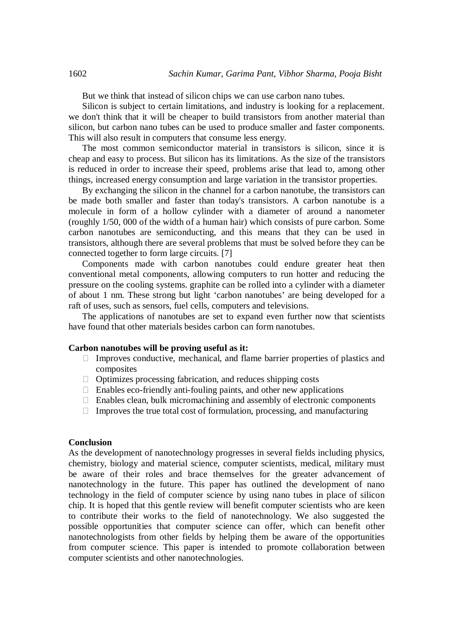But we think that instead of silicon chips we can use carbon nano tubes.

Silicon is subject to certain limitations, and industry is looking for a replacement. we don't think that it will be cheaper to build transistors from another material than silicon, but carbon nano tubes can be used to produce smaller and faster components. This will also result in computers that consume less energy.

The most common semiconductor material in transistors is silicon, since it is cheap and easy to process. But silicon has its limitations. As the size of the transistors is reduced in order to increase their speed, problems arise that lead to, among other things, increased energy consumption and large variation in the transistor properties.

By exchanging the silicon in the channel for a carbon nanotube, the transistors can be made both smaller and faster than today's transistors. A carbon nanotube is a molecule in form of a hollow cylinder with a diameter of around a nanometer (roughly 1/50, 000 of the width of a human hair) which consists of pure carbon. Some carbon nanotubes are semiconducting, and this means that they can be used in transistors, although there are several problems that must be solved before they can be connected together to form large circuits. [7]

Components made with carbon nanotubes could endure greater heat then conventional metal components, allowing computers to run hotter and reducing the pressure on the cooling systems. graphite can be rolled into a cylinder with a diameter of about 1 nm. These strong but light 'carbon nanotubes' are being developed for a raft of uses, such as sensors, fuel cells, computers and televisions.

The applications of nanotubes are set to expand even further now that scientists have found that other materials besides carbon can form nanotubes.

#### **Carbon nanotubes will be proving useful as it:**

- $\Box$  Improves conductive, mechanical, and flame barrier properties of plastics and composites
- $\Box$  Optimizes processing fabrication, and reduces shipping costs
- $\Box$  Enables eco-friendly anti-fouling paints, and other new applications
- $\Box$  Enables clean, bulk micromachining and assembly of electronic components
- $\Box$  Improves the true total cost of formulation, processing, and manufacturing

#### **Conclusion**

As the development of nanotechnology progresses in several fields including physics, chemistry, biology and material science, computer scientists, medical, military must be aware of their roles and brace themselves for the greater advancement of nanotechnology in the future. This paper has outlined the development of nano technology in the field of computer science by using nano tubes in place of silicon chip. It is hoped that this gentle review will benefit computer scientists who are keen to contribute their works to the field of nanotechnology. We also suggested the possible opportunities that computer science can offer, which can benefit other nanotechnologists from other fields by helping them be aware of the opportunities from computer science. This paper is intended to promote collaboration between computer scientists and other nanotechnologies.